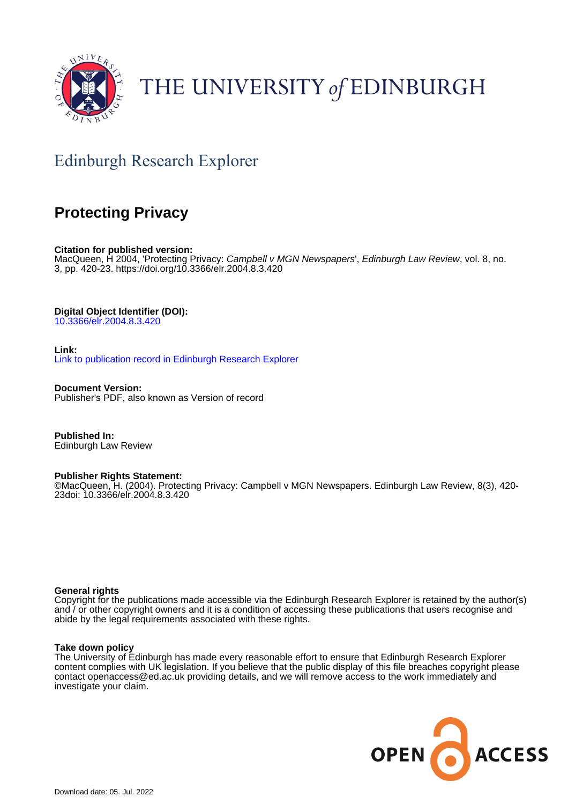

# THE UNIVERSITY of EDINBURGH

## Edinburgh Research Explorer

### **Protecting Privacy**

**Citation for published version:** MacQueen, H 2004, 'Protecting Privacy: Campbell v MGN Newspapers', Edinburgh Law Review, vol. 8, no. 3, pp. 420-23.<https://doi.org/10.3366/elr.2004.8.3.420>

**Digital Object Identifier (DOI):**

[10.3366/elr.2004.8.3.420](https://doi.org/10.3366/elr.2004.8.3.420)

**Link:** [Link to publication record in Edinburgh Research Explorer](https://www.research.ed.ac.uk/en/publications/19d189af-a619-418b-a072-d3e9f390944d)

**Document Version:** Publisher's PDF, also known as Version of record

**Published In:** Edinburgh Law Review

#### **Publisher Rights Statement:**

©MacQueen, H. (2004). Protecting Privacy: Campbell v MGN Newspapers. Edinburgh Law Review, 8(3), 420- 23doi: 10.3366/elr.2004.8.3.420

#### **General rights**

Copyright for the publications made accessible via the Edinburgh Research Explorer is retained by the author(s) and / or other copyright owners and it is a condition of accessing these publications that users recognise and abide by the legal requirements associated with these rights.

#### **Take down policy**

The University of Edinburgh has made every reasonable effort to ensure that Edinburgh Research Explorer content complies with UK legislation. If you believe that the public display of this file breaches copyright please contact openaccess@ed.ac.uk providing details, and we will remove access to the work immediately and investigate your claim.

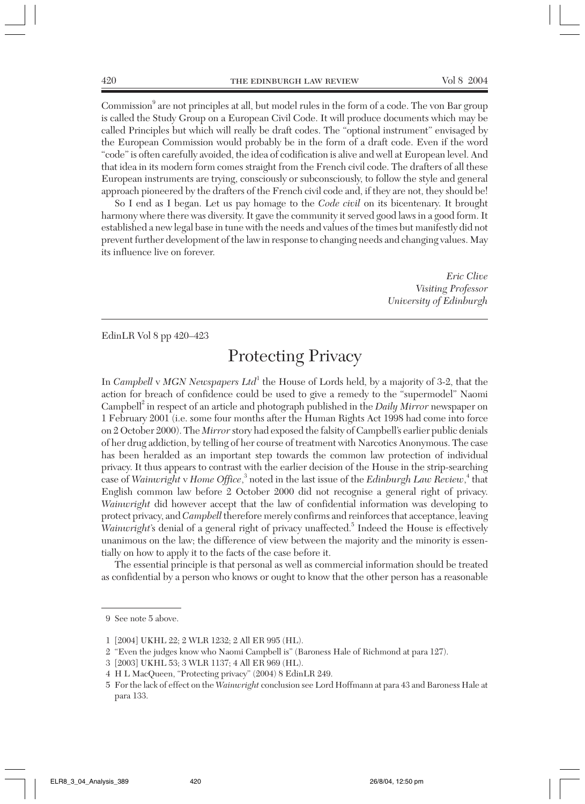Commission<sup>9</sup> are not principles at all, but model rules in the form of a code. The von Bar group is called the Study Group on a European Civil Code. It will produce documents which may be called Principles but which will really be draft codes. The "optional instrument" envisaged by the European Commission would probably be in the form of a draft code. Even if the word "code" is often carefully avoided, the idea of codification is alive and well at European level. And that idea in its modern form comes straight from the French civil code. The drafters of all these European instruments are trying, consciously or subconsciously, to follow the style and general approach pioneered by the drafters of the French civil code and, if they are not, they should be!

So I end as I began. Let us pay homage to the *Code civil* on its bicentenary. It brought harmony where there was diversity. It gave the community it served good laws in a good form. It established a new legal base in tune with the needs and values of the times but manifestly did not prevent further development of the law in response to changing needs and changing values. May its influence live on forever.

> *Eric Clive Visiting Professor University of Edinburgh*

EdinLR Vol 8 pp 420–423

### Protecting Privacy

In *Campbell* v *MGN Newspapers Ltd*<sup>1</sup> the House of Lords held, by a majority of 3-2, that the action for breach of confidence could be used to give a remedy to the "supermodel" Naomi Campbell<sup>2</sup> in respect of an article and photograph published in the *Daily Mirror* newspaper on 1 February 2001 (i.e. some four months after the Human Rights Act 1998 had come into force on 2 October 2000). The *Mirror* story had exposed the falsity of Campbell's earlier public denials of her drug addiction, by telling of her course of treatment with Narcotics Anonymous. The case has been heralded as an important step towards the common law protection of individual privacy. It thus appears to contrast with the earlier decision of the House in the strip-searching case of *Wainwright* v *Home Office*, <sup>3</sup> noted in the last issue of the *Edinburgh Law Review*, <sup>4</sup> that English common law before 2 October 2000 did not recognise a general right of privacy. *Wainwright* did however accept that the law of confidential information was developing to protect privacy, and *Campbell* therefore merely confirms and reinforces that acceptance, leaving *Wainwright*'s denial of a general right of privacy unaffected.<sup>5</sup> Indeed the House is effectively unanimous on the law; the difference of view between the majority and the minority is essentially on how to apply it to the facts of the case before it.

The essential principle is that personal as well as commercial information should be treated as confidential by a person who knows or ought to know that the other person has a reasonable

<sup>9</sup> See note 5 above.

<sup>1</sup> [2004] UKHL 22; 2 WLR 1232; 2 All ER 995 (HL).

<sup>2</sup> "Even the judges know who Naomi Campbell is" (Baroness Hale of Richmond at para 127).

<sup>3</sup> [2003] UKHL 53; 3 WLR 1137; 4 All ER 969 (HL).

<sup>4</sup> H L MacQueen, "Protecting privacy" (2004) 8 EdinLR 249.

<sup>5</sup> For the lack of effect on the *Wainwright* conclusion see Lord Hoffmann at para 43 and Baroness Hale at para 133.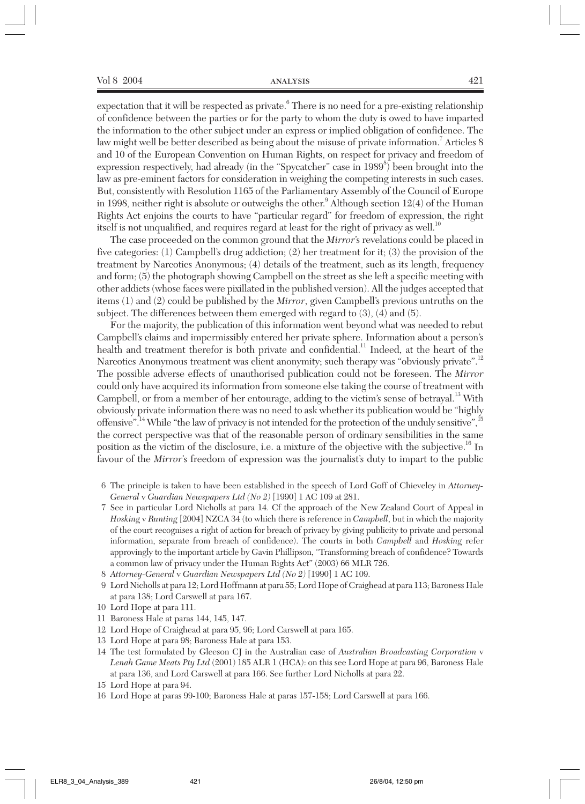expectation that it will be respected as private.<sup>6</sup> There is no need for a pre-existing relationship of confidence between the parties or for the party to whom the duty is owed to have imparted the information to the other subject under an express or implied obligation of confidence. The law might well be better described as being about the misuse of private information.<sup>7</sup> Articles 8 and 10 of the European Convention on Human Rights, on respect for privacy and freedom of expression respectively, had already (in the "Spycatcher" case in 1989<sup>8</sup>) been brought into the law as pre-eminent factors for consideration in weighing the competing interests in such cases. But, consistently with Resolution 1165 of the Parliamentary Assembly of the Council of Europe in 1998, neither right is absolute or outweighs the other.<sup>9</sup> Although section  $12(4)$  of the Human Rights Act enjoins the courts to have "particular regard" for freedom of expression, the right itself is not unqualified, and requires regard at least for the right of privacy as well.<sup>10</sup>

The case proceeded on the common ground that the *Mirror*'s revelations could be placed in five categories: (1) Campbell's drug addiction; (2) her treatment for it; (3) the provision of the treatment by Narcotics Anonymous; (4) details of the treatment, such as its length, frequency and form; (5) the photograph showing Campbell on the street as she left a specific meeting with other addicts (whose faces were pixillated in the published version). All the judges accepted that items (1) and (2) could be published by the *Mirror*, given Campbell's previous untruths on the subject. The differences between them emerged with regard to (3), (4) and (5).

For the majority, the publication of this information went beyond what was needed to rebut Campbell's claims and impermissibly entered her private sphere. Information about a person's health and treatment therefor is both private and confidential.<sup>11</sup> Indeed, at the heart of the Narcotics Anonymous treatment was client anonymity; such therapy was "obviously private".<sup>12</sup> The possible adverse effects of unauthorised publication could not be foreseen. The *Mirror* could only have acquired its information from someone else taking the course of treatment with Campbell, or from a member of her entourage, adding to the victim's sense of betrayal.<sup>13</sup> With obviously private information there was no need to ask whether its publication would be "highly offensive".<sup>14</sup> While "the law of privacy is not intended for the protection of the unduly sensitive", <sup>15</sup> the correct perspective was that of the reasonable person of ordinary sensibilities in the same position as the victim of the disclosure, i.e. a mixture of the objective with the subjective.<sup>16</sup> In favour of the *Mirror*'s freedom of expression was the journalist's duty to impart to the public

- 6 The principle is taken to have been established in the speech of Lord Goff of Chieveley in *Attorney-General* v *Guardian Newspapers Ltd (No 2)* [1990] 1 AC 109 at 281.
- 7 See in particular Lord Nicholls at para 14. Cf the approach of the New Zealand Court of Appeal in *Hosking* v *Runting* [2004] NZCA 34 (to which there is reference in *Campbell*, but in which the majority of the court recognises a right of action for breach of privacy by giving publicity to private and personal information, separate from breach of confidence). The courts in both *Campbell* and *Hosking* refer approvingly to the important article by Gavin Phillipson, "Transforming breach of confidence? Towards a common law of privacy under the Human Rights Act" (2003) 66 MLR 726.
- 8 *Attorney-General* v *Guardian Newspapers Ltd (No 2)* [1990] 1 AC 109.
- 9 Lord Nicholls at para 12; Lord Hoffmann at para 55; Lord Hope of Craighead at para 113; Baroness Hale at para 138; Lord Carswell at para 167.
- 10 Lord Hope at para 111.
- 11 Baroness Hale at paras 144, 145, 147.
- 12 Lord Hope of Craighead at para 95, 96; Lord Carswell at para 165.
- 13 Lord Hope at para 98; Baroness Hale at para 153.
- 14 The test formulated by Gleeson CJ in the Australian case of *Australian Broadcasting Corporation* v *Lenah Game Meats Pty Ltd* (2001) 185 ALR 1 (HCA): on this see Lord Hope at para 96, Baroness Hale at para 136, and Lord Carswell at para 166. See further Lord Nicholls at para 22.
- 15 Lord Hope at para 94.
- 16 Lord Hope at paras 99-100; Baroness Hale at paras 157-158; Lord Carswell at para 166.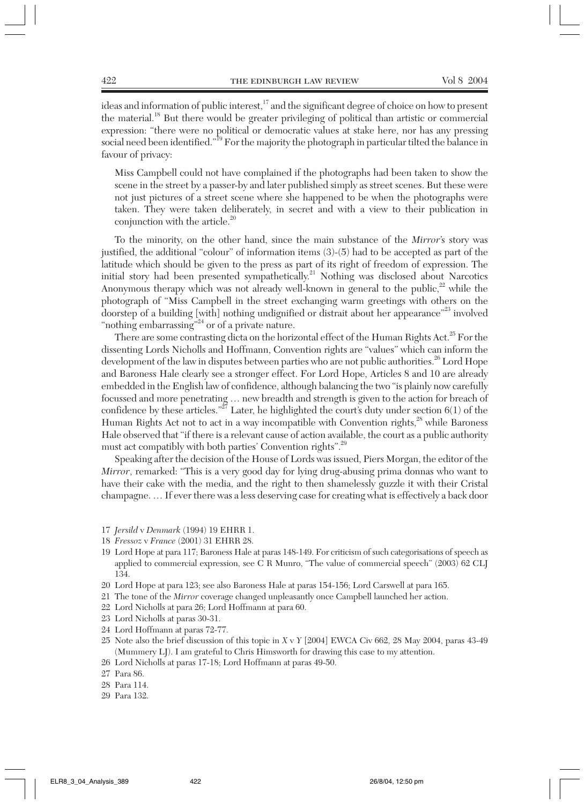ideas and information of public interest,<sup>17</sup> and the significant degree of choice on how to present the material.<sup>18</sup> But there would be greater privileging of political than artistic or commercial expression: "there were no political or democratic values at stake here, nor has any pressing social need been identified."<sup>19</sup> For the majority the photograph in particular tilted the balance in favour of privacy:

Miss Campbell could not have complained if the photographs had been taken to show the scene in the street by a passer-by and later published simply as street scenes. But these were not just pictures of a street scene where she happened to be when the photographs were taken. They were taken deliberately, in secret and with a view to their publication in conjunction with the article.<sup>20</sup>

To the minority, on the other hand, since the main substance of the *Mirror*'s story was justified, the additional "colour" of information items (3)-(5) had to be accepted as part of the latitude which should be given to the press as part of its right of freedom of expression. The initial story had been presented sympathetically.<sup>21</sup> Nothing was disclosed about Narcotics Anonymous therapy which was not already well-known in general to the public, $22$  while the photograph of "Miss Campbell in the street exchanging warm greetings with others on the doorstep of a building [with] nothing undignified or distrait about her appearance"<sup>23</sup> involved "nothing embarrassing"<sup>24</sup> or of a private nature.

There are some contrasting dicta on the horizontal effect of the Human Rights Act.<sup>25</sup> For the dissenting Lords Nicholls and Hoffmann, Convention rights are "values" which can inform the development of the law in disputes between parties who are not public authorities.<sup>26</sup> Lord Hope and Baroness Hale clearly see a stronger effect. For Lord Hope, Articles 8 and 10 are already embedded in the English law of confidence, although balancing the two "is plainly now carefully focussed and more penetrating … new breadth and strength is given to the action for breach of confidence by these articles."<sup>27</sup> Later, he highlighted the court's duty under section  $6(1)$  of the Human Rights Act not to act in a way incompatible with Convention rights, $^{28}$  while Baroness Hale observed that "if there is a relevant cause of action available, the court as a public authority must act compatibly with both parties' Convention rights".<sup>29</sup>

Speaking after the decision of the House of Lords was issued, Piers Morgan, the editor of the *Mirror*, remarked: "This is a very good day for lying drug-abusing prima donnas who want to have their cake with the media, and the right to then shamelessly guzzle it with their Cristal champagne. … If ever there was a less deserving case for creating what is effectively a back door

- 17 *Jersild* v *Denmark* (1994) 19 EHRR 1.
- 18 *Fressoz* v *France* (2001) 31 EHRR 28.
- 19 Lord Hope at para 117; Baroness Hale at paras 148-149. For criticism of such categorisations of speech as applied to commercial expression, see C R Munro, "The value of commercial speech" (2003) 62 CLJ 134.
- 20 Lord Hope at para 123; see also Baroness Hale at paras 154-156; Lord Carswell at para 165.
- 21 The tone of the *Mirror* coverage changed unpleasantly once Campbell launched her action.
- 22 Lord Nicholls at para 26; Lord Hoffmann at para 60.
- 23 Lord Nicholls at paras 30-31.
- 24 Lord Hoffmann at paras 72-77.
- 25 Note also the brief discussion of this topic in *X* v *Y* [2004] EWCA Civ 662, 28 May 2004, paras 43-49 (Mummery LJ). I am grateful to Chris Himsworth for drawing this case to my attention.
- 26 Lord Nicholls at paras 17-18; Lord Hoffmann at paras 49-50.
- 27 Para 86.
- 28 Para 114.
- 29 Para 132.